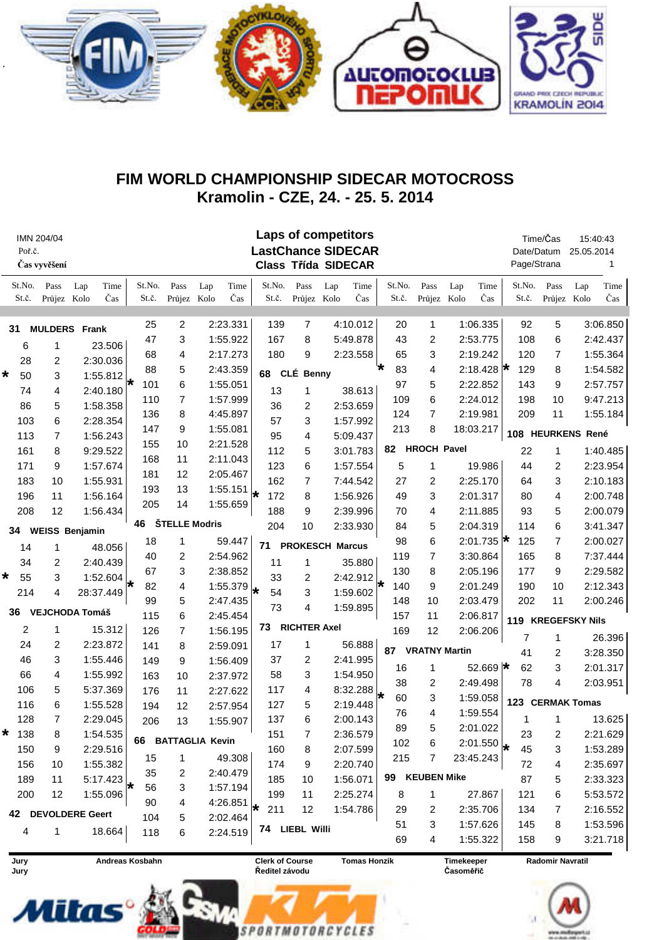

## FIM WORLD CHAMPIONSHIP SIDECAR MOTOCROSS Kramolin - CZE, 24. - 25. 5. 2014

| IMN 204/04<br>Poř.č.<br>Čas vyvěšení |                 |                     |                       |                 |                             |     |             | <b>Laps of competitors</b><br><b>LastChance SIDECAR</b><br><b>Class Třída SIDECAR</b> |                     |                        |                     |                 |                      |                  |                   | Page/Strana        | Time/Čas<br>Date/Datum  | 15:40:43<br>25.05.2014 | 1           |
|--------------------------------------|-----------------|---------------------|-----------------------|-----------------|-----------------------------|-----|-------------|---------------------------------------------------------------------------------------|---------------------|------------------------|---------------------|-----------------|----------------------|------------------|-------------------|--------------------|-------------------------|------------------------|-------------|
|                                      | St.No.<br>St.č. | Pass<br>Průjez Kolo | Time<br>Lap<br>Čas    | St.No.<br>St.č. | Pass<br>Průjez Kolo         | Lap | Time<br>Čas | St.No.<br>St.č.                                                                       | Pass<br>Průjez Kolo | Lap                    | Time<br>Čas         | St.No.<br>St.č. | Pass<br>Průjez Kolo  | Lap              | Time<br>Čas       | St.No.<br>St.č.    | Pass<br>Průjez          | Lap<br>Kolo            | Time<br>Čas |
| 31                                   |                 |                     | <b>MULDERS</b> Frank  | 25              | 2                           |     | 2:23.331    | 139                                                                                   | 7                   |                        | 4:10.012            | 20              | 1                    |                  | 1:06.335          | 92                 | 5                       |                        | 3:06.850    |
|                                      |                 |                     |                       | 47              | 3                           |     | 1:55.922    | 167                                                                                   | 8                   |                        | 5:49.878            | 43              | 2                    |                  | 2:53.775          | 108                | 6                       |                        | 2:42.437    |
|                                      | 6               | 1                   | 23.506                | 68              | 4                           |     | 2:17.273    | 180                                                                                   | 9                   |                        | 2:23.558            | 65              | 3                    | 2:19.242         |                   | 120                | 7                       |                        | 1:55.364    |
|                                      | 28              | 2                   | 2:30.036              | 88              | 5                           |     | 2:43.359    | 68                                                                                    | CLÉ Benny           |                        |                     | 83<br>*         | 4                    | 2:18.428 $\star$ |                   | 129                | 8                       |                        | 1:54.582    |
| $\star$                              | 50              | 3                   | 1:55.812              | 101<br>₩        | 6                           |     | 1:55.051    |                                                                                       |                     |                        |                     | 97              | 5                    |                  | 2:22.852          | 143                | 9                       |                        | 2:57.757    |
|                                      | 74              | 4                   | 2:40.180              | 110             | $\overline{7}$              |     | 1:57.999    | 13                                                                                    | 1                   |                        | 38.613              | 109             | 6                    |                  | 2:24.012          | 198                | 10                      |                        | 9:47.213    |
|                                      | 86              | 5                   | 1:58.358              | 136             | 8                           |     | 4:45.897    | 36                                                                                    | 2                   |                        | 2:53.659            | 124             | 7                    | 2:19.981         |                   | 209                | 11                      |                        | 1:55.184    |
|                                      | 103             | 6                   | 2:28.354              | 147             | 9                           |     | 1:55.081    | 57                                                                                    | 3                   |                        | 1:57.992            | 213             | 8                    | 18:03.217        |                   |                    |                         |                        |             |
|                                      | 113             | 7                   | 1:56.243              |                 | 95<br>155<br>10<br>2:21.528 |     | 4           |                                                                                       | 5:09.437            |                        |                     |                 |                      |                  | 108 HEURKENS René |                    |                         |                        |             |
|                                      | 161             | 8                   | 9:29.522              | 168             | 11                          |     | 2:11.043    | 112                                                                                   | 5                   |                        | 3:01.783            |                 | 82 HROCH Pavel       |                  |                   | 22                 | 1                       |                        | 1:40.485    |
|                                      | 171             | 9                   | 1:57.674              | 181             | 12                          |     | 2:05.467    | 123                                                                                   | 6                   |                        | 1:57.554            | 5               | 1                    |                  | 19.986            | 44                 | 2                       |                        | 2:23.954    |
|                                      | 183             | 10                  | 1:55.931              | 193             | 13                          |     | 1:55.151    | 162                                                                                   | 7                   |                        | 7:44.542            | 27              | 2                    |                  | 2:25.170          | 64                 | 3                       |                        | 2:10.183    |
|                                      | 196             | 11                  | 1:56.164              | 205             | 14                          |     | 1:55.659    | 172                                                                                   | 8                   |                        | 1:56.926            | 49              | 3                    | 2:01.317         |                   | 80                 | 4                       |                        | 2:00.748    |
|                                      | 208             | 12                  | 1:56.434              |                 |                             |     |             | 188                                                                                   | 9                   |                        | 2:39.996            | 70              | 4                    |                  | 2:11.885          | 93                 | 5                       |                        | 2:00.079    |
| 34                                   |                 |                     | <b>WEISS Benjamin</b> | 46              | ŠTELLE Modris               |     |             | 204                                                                                   | 10                  |                        | 2:33.930            | 84              | 5                    |                  | 2:04.319          | 114                | 6                       |                        | 3:41.347    |
|                                      | 14              | 1                   | 48.056                | 18              | 1                           |     | 59.447      | 71                                                                                    |                     | <b>PROKESCH Marcus</b> |                     | 98              | 6                    |                  | 2:01.735 $\star$  | 125                | 7                       |                        | 2:00.027    |
|                                      | 34              | $\overline{2}$      | 2:40.439              | 40              | 2                           |     | 2:54.962    | 11                                                                                    | 1                   |                        | 35.880              | 119             | 7                    |                  | 3:30.864          | 165                | 8                       |                        | 7:37.444    |
| *                                    | 55              | 3                   | 1:52.604              | 67              | 3                           |     | 2:38.852    | 33                                                                                    | 2                   |                        | 2:42.912            | 130             | 8                    |                  | 2:05.196          | 177                | 9                       |                        | 2:29.582    |
|                                      | 214             | 4                   | 28:37.449             | 82              | 4                           |     | 1:55.379    | 54                                                                                    | 3                   |                        | 1:59.602            | 140<br>₩        | 9                    |                  | 2:01.249          | 190                | 10                      |                        | 2:12.343    |
|                                      |                 |                     |                       | 99              | 5                           |     | 2:47.435    | 73                                                                                    | 4                   |                        | 1:59.895            | 148             | 10                   |                  | 2:03.479          | 202                | 11                      |                        | 2:00.246    |
| 36                                   |                 |                     | <b>VEJCHODA Tomáš</b> | 115             | 6                           |     | 2:45.454    |                                                                                       |                     |                        |                     | 157             | 11                   | 2:06.817         |                   | 119 KREGEFSKY Nils |                         |                        |             |
|                                      | 2               | 1                   | 15.312                | 126             | $\overline{7}$              |     | 1:56.195    | 73                                                                                    | <b>RICHTER Axel</b> |                        |                     | 169             | 12                   |                  | 2:06.206          |                    | 1                       |                        |             |
|                                      | 24              | $\overline{c}$      | 2:23.872              | 141             | 8                           |     | 2:59.091    | 17                                                                                    | 1                   |                        | 56.888              | 87              | <b>VRATNY Martin</b> |                  | 7<br>41           |                    |                         | 26.396<br>3:28.350     |             |
|                                      | 46              | 3                   | 1:55.446              | 149             | 9                           |     | 1:56.409    | 37                                                                                    | 2                   |                        | 2:41.995            |                 |                      |                  |                   |                    | 2                       |                        | 2:01.317    |
|                                      | 66              | 4                   | 1:55.992              | 163             | 10                          |     | 2:37.972    | 58                                                                                    | 3                   |                        | 1:54.950            | 16              | 1                    |                  | 52.669 $\star$    | 62                 | 3                       |                        |             |
|                                      | 106             | 5                   | 5:37.369              | 176             | 11                          |     | 2:27.622    | 117                                                                                   | 4                   |                        | 8:32.288            | 38              | 2                    |                  | 2:49.498          | 78                 | 4                       |                        | 2:03.951    |
|                                      | 116             | 6                   | 1:55.528              | 194             | 12                          |     | 2:57.954    | 127                                                                                   | 5                   |                        | 2:19.448            | 60<br>*         | 3                    | 1:59.058         |                   |                    | 123 CERMAK Tomas        |                        |             |
|                                      | 128             | $\overline{7}$      | 2:29.045              | 206             | 13                          |     | 1:55.907    | 137                                                                                   | 6                   |                        | 2:00.143            | 76              | 4                    |                  | 1:59.554          | 1                  | 1                       |                        | 13.625      |
| *                                    | 138             | 8                   | 1:54.535              |                 |                             |     |             | 151                                                                                   | 7                   |                        | 2:36.579            | 89              | 5                    |                  | 2:01.022          | 23                 | 2                       |                        | 2:21.629    |
|                                      | 150             | 9                   | 2:29.516              |                 | 66 BATTAGLIA Kevin          |     |             | 160                                                                                   | 8                   |                        | 2:07.599            | 102             | 6                    |                  | 2:01.550          | 45                 | 3                       |                        | 1:53.289    |
|                                      | 156             | 10                  | 1:55.382              | 15              | 1                           |     | 49.308      | 174                                                                                   | 9                   |                        | 2:20.740            | 215             | 7                    | 23:45.243        |                   | 72                 | 4                       |                        | 2:35.697    |
|                                      | 189             | 11                  | 5:17.423              | 35              | 2                           |     | 2:40.479    | 185                                                                                   | 10                  |                        | 1:56.071            |                 | 99 KEUBEN Mike       |                  |                   | 87                 | 5                       |                        | 2:33.323    |
|                                      | 200             | 12                  | 1:55.096              | 56              | 3                           |     | 1:57.194    | 199                                                                                   | 11                  |                        | 2:25.274            | 8               | 1                    |                  | 27.867            | 121                | 6                       |                        | 5:53.572    |
|                                      |                 | 42 DEVOLDERE Geert  |                       | 90              | 4                           |     | 4:26.851    | 211                                                                                   | 12                  |                        | 1:54.786            | 29              | 2                    |                  | 2:35.706          | 134                | 7                       |                        | 2:16.552    |
|                                      |                 |                     |                       | 104             | 5                           |     | 2:02.464    |                                                                                       |                     |                        |                     | 51              | 3                    |                  | 1:57.626          | 145                | 8                       |                        | 1:53.596    |
|                                      | 4               | 1                   | 18.664                | 118             | 6                           |     | 2:24.519    |                                                                                       | 74 LIEBL Willi      |                        |                     | 69              | 4                    |                  | 1:55.322          | 158                | 9                       |                        | 3:21.718    |
|                                      | Jury            |                     |                       | Andreas Kosbahn |                             |     |             | <b>Clerk of Course</b>                                                                |                     |                        | <b>Tomas Honzik</b> |                 |                      | Timekeeper       |                   |                    | <b>Radomir Navratil</b> |                        |             |



Jury

Ředitel závodu

Timekeeper Časoměřič



**SPORTMOTORCYCLES**